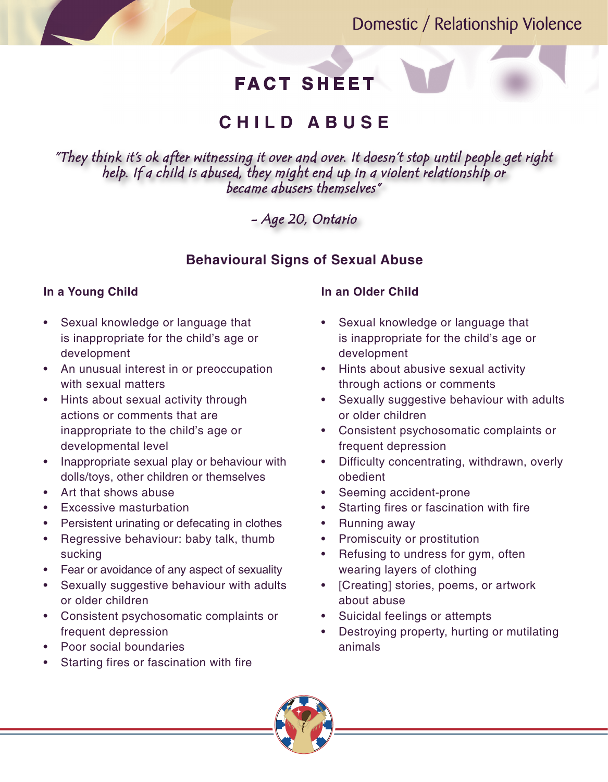## Domestic / Relationship Violence

# **FACT SHEET**

## **C H I L D A B U S E**

*"They think it's ok after witnessing it over and over. It doesn't stop until people get right help. If a child is abused, they might end up in a violent relationship or became abusers themselves"*

*- Age 20, Ontario*

### **Behavioural Signs of Sexual Abuse**

#### **In a Young Child**

- Sexual knowledge or language that is inappropriate for the child's age or development
- An unusual interest in or preoccupation with sexual matters
- Hints about sexual activity through actions or comments that are inappropriate to the child's age or developmental level
- • Inappropriate sexual play or behaviour with dolls/toys, other children or themselves
- Art that shows abuse
- **Excessive masturbation**
- Persistent urinating or defecating in clothes
- Regressive behaviour: baby talk, thumb sucking
- Fear or avoidance of any aspect of sexuality
- Sexually suggestive behaviour with adults or older children
- • Consistent psychosomatic complaints or frequent depression
- **Poor social boundaries**
- Starting fires or fascination with fire

#### **In an Older Child**

- Sexual knowledge or language that is inappropriate for the child's age or development
- • Hints about abusive sexual activity through actions or comments
- Sexually suggestive behaviour with adults or older children
- • Consistent psychosomatic complaints or frequent depression
- • Difficulty concentrating, withdrawn, overly obedient
- Seeming accident-prone
- Starting fires or fascination with fire
- Running away
- Promiscuity or prostitution
- Refusing to undress for gym, often wearing layers of clothing
- • [Creating] stories, poems, or artwork about abuse
- Suicidal feelings or attempts
- Destroying property, hurting or mutilating animals